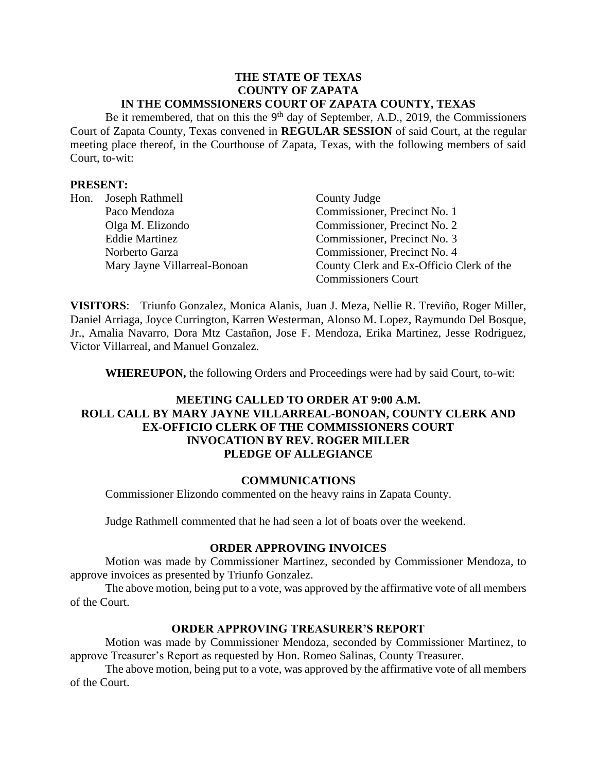#### **THE STATE OF TEXAS COUNTY OF ZAPATA IN THE COMMSSIONERS COURT OF ZAPATA COUNTY, TEXAS**

Be it remembered, that on this the 9<sup>th</sup> day of September, A.D., 2019, the Commissioners Court of Zapata County, Texas convened in **REGULAR SESSION** of said Court, at the regular meeting place thereof, in the Courthouse of Zapata, Texas, with the following members of said Court, to-wit:

## **PRESENT:**

| Hon. | Joseph Rathmell              | County Judge                             |
|------|------------------------------|------------------------------------------|
|      | Paco Mendoza                 | Commissioner, Precinct No. 1             |
|      | Olga M. Elizondo             | Commissioner, Precinct No. 2             |
|      | <b>Eddie Martinez</b>        | Commissioner, Precinct No. 3             |
|      | Norberto Garza               | Commissioner, Precinct No. 4             |
|      | Mary Jayne Villarreal-Bonoan | County Clerk and Ex-Officio Clerk of the |
|      |                              | <b>Commissioners Court</b>               |

**VISITORS**: Triunfo Gonzalez, Monica Alanis, Juan J. Meza, Nellie R. Treviño, Roger Miller, Daniel Arriaga, Joyce Currington, Karren Westerman, Alonso M. Lopez, Raymundo Del Bosque, Jr., Amalia Navarro, Dora Mtz Castañon, Jose F. Mendoza, Erika Martinez, Jesse Rodriguez, Victor Villarreal, and Manuel Gonzalez.

**WHEREUPON,** the following Orders and Proceedings were had by said Court, to-wit:

# **MEETING CALLED TO ORDER AT 9:00 A.M. ROLL CALL BY MARY JAYNE VILLARREAL-BONOAN, COUNTY CLERK AND EX-OFFICIO CLERK OF THE COMMISSIONERS COURT INVOCATION BY REV. ROGER MILLER PLEDGE OF ALLEGIANCE**

### **COMMUNICATIONS**

Commissioner Elizondo commented on the heavy rains in Zapata County.

Judge Rathmell commented that he had seen a lot of boats over the weekend.

### **ORDER APPROVING INVOICES**

Motion was made by Commissioner Martinez, seconded by Commissioner Mendoza, to approve invoices as presented by Triunfo Gonzalez.

The above motion, being put to a vote, was approved by the affirmative vote of all members of the Court.

### **ORDER APPROVING TREASURER'S REPORT**

Motion was made by Commissioner Mendoza, seconded by Commissioner Martinez, to approve Treasurer's Report as requested by Hon. Romeo Salinas, County Treasurer.

The above motion, being put to a vote, was approved by the affirmative vote of all members of the Court.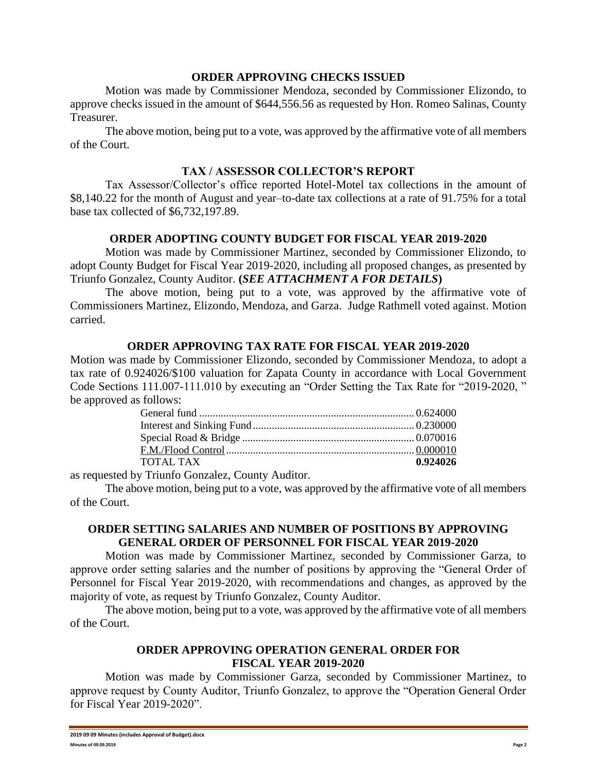### **ORDER APPROVING CHECKS ISSUED**

Motion was made by Commissioner Mendoza, seconded by Commissioner Elizondo, to approve checks issued in the amount of \$644,556.56 as requested by Hon. Romeo Salinas, County Treasurer.

The above motion, being put to a vote, was approved by the affirmative vote of all members of the Court.

### **TAX / ASSESSOR COLLECTOR'S REPORT**

Tax Assessor/Collector's office reported Hotel-Motel tax collections in the amount of \$8,140.22 for the month of August and year–to-date tax collections at a rate of 91.75% for a total base tax collected of \$6,732,197.89.

### **ORDER ADOPTING COUNTY BUDGET FOR FISCAL YEAR 2019-2020**

Motion was made by Commissioner Martinez, seconded by Commissioner Elizondo, to adopt County Budget for Fiscal Year 2019-2020, including all proposed changes, as presented by Triunfo Gonzalez, County Auditor. **(***SEE ATTACHMENT A FOR DETAILS***)**

The above motion, being put to a vote, was approved by the affirmative vote of Commissioners Martinez, Elizondo, Mendoza, and Garza. Judge Rathmell voted against. Motion carried.

#### **ORDER APPROVING TAX RATE FOR FISCAL YEAR 2019-2020**

Motion was made by Commissioner Elizondo, seconded by Commissioner Mendoza, to adopt a tax rate of 0.924026/\$100 valuation for Zapata County in accordance with Local Government Code Sections 111.007-111.010 by executing an "Order Setting the Tax Rate for "2019-2020, " be approved as follows:

| TOTAL TAX | 0.924026 |
|-----------|----------|
|           |          |

as requested by Triunfo Gonzalez, County Auditor.

The above motion, being put to a vote, was approved by the affirmative vote of all members of the Court.

### **ORDER SETTING SALARIES AND NUMBER OF POSITIONS BY APPROVING GENERAL ORDER OF PERSONNEL FOR FISCAL YEAR 2019-2020**

Motion was made by Commissioner Martinez, seconded by Commissioner Garza, to approve order setting salaries and the number of positions by approving the "General Order of Personnel for Fiscal Year 2019-2020, with recommendations and changes, as approved by the majority of vote, as request by Triunfo Gonzalez, County Auditor.

The above motion, being put to a vote, was approved by the affirmative vote of all members of the Court.

### **ORDER APPROVING OPERATION GENERAL ORDER FOR FISCAL YEAR 2019-2020**

Motion was made by Commissioner Garza, seconded by Commissioner Martinez, to approve request by County Auditor, Triunfo Gonzalez, to approve the "Operation General Order for Fiscal Year 2019-2020".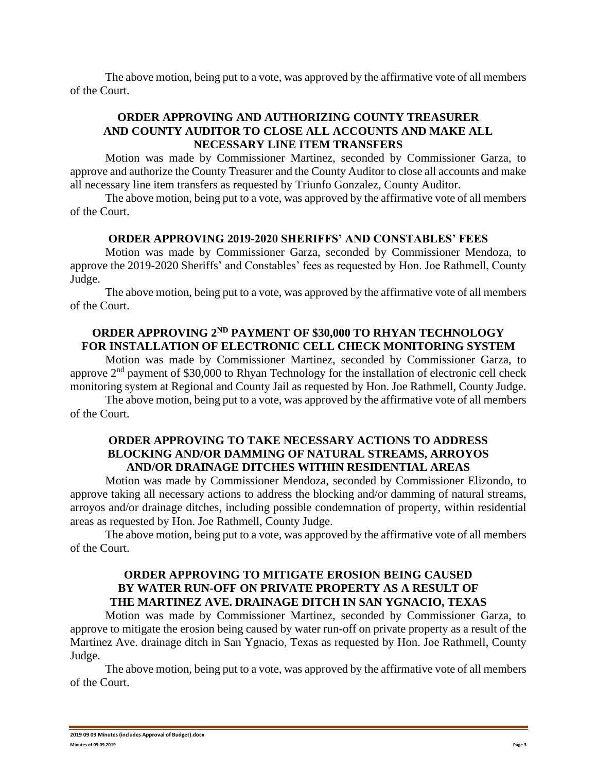The above motion, being put to a vote, was approved by the affirmative vote of all members of the Court.

# **ORDER APPROVING AND AUTHORIZING COUNTY TREASURER AND COUNTY AUDITOR TO CLOSE ALL ACCOUNTS AND MAKE ALL NECESSARY LINE ITEM TRANSFERS**

Motion was made by Commissioner Martinez, seconded by Commissioner Garza, to approve and authorize the County Treasurer and the County Auditor to close all accounts and make all necessary line item transfers as requested by Triunfo Gonzalez, County Auditor.

The above motion, being put to a vote, was approved by the affirmative vote of all members of the Court.

#### **ORDER APPROVING 2019-2020 SHERIFFS' AND CONSTABLES' FEES**

Motion was made by Commissioner Garza, seconded by Commissioner Mendoza, to approve the 2019-2020 Sheriffs' and Constables' fees as requested by Hon. Joe Rathmell, County Judge.

The above motion, being put to a vote, was approved by the affirmative vote of all members of the Court.

# **ORDER APPROVING 2ND PAYMENT OF \$30,000 TO RHYAN TECHNOLOGY FOR INSTALLATION OF ELECTRONIC CELL CHECK MONITORING SYSTEM**

Motion was made by Commissioner Martinez, seconded by Commissioner Garza, to approve 2<sup>nd</sup> payment of \$30,000 to Rhyan Technology for the installation of electronic cell check monitoring system at Regional and County Jail as requested by Hon. Joe Rathmell, County Judge.

The above motion, being put to a vote, was approved by the affirmative vote of all members of the Court.

### **ORDER APPROVING TO TAKE NECESSARY ACTIONS TO ADDRESS BLOCKING AND/OR DAMMING OF NATURAL STREAMS, ARROYOS AND/OR DRAINAGE DITCHES WITHIN RESIDENTIAL AREAS**

Motion was made by Commissioner Mendoza, seconded by Commissioner Elizondo, to approve taking all necessary actions to address the blocking and/or damming of natural streams, arroyos and/or drainage ditches, including possible condemnation of property, within residential areas as requested by Hon. Joe Rathmell, County Judge.

The above motion, being put to a vote, was approved by the affirmative vote of all members of the Court.

# **ORDER APPROVING TO MITIGATE EROSION BEING CAUSED BY WATER RUN-OFF ON PRIVATE PROPERTY AS A RESULT OF THE MARTINEZ AVE. DRAINAGE DITCH IN SAN YGNACIO, TEXAS**

Motion was made by Commissioner Martinez, seconded by Commissioner Garza, to approve to mitigate the erosion being caused by water run-off on private property as a result of the Martinez Ave. drainage ditch in San Ygnacio, Texas as requested by Hon. Joe Rathmell, County Judge.

The above motion, being put to a vote, was approved by the affirmative vote of all members of the Court.

**<sup>2019 09 09</sup> Minutes (includes Approval of Budget).docx Minutes of 09.09.2019 Page 3**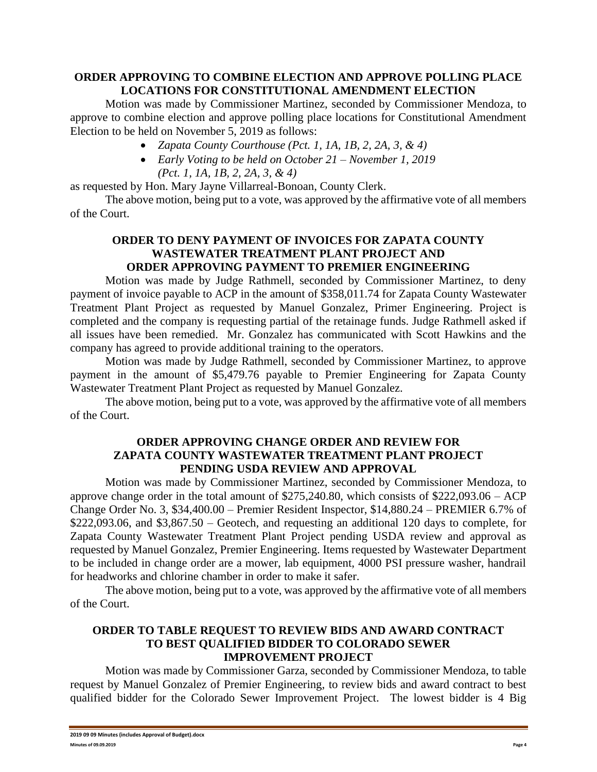# **ORDER APPROVING TO COMBINE ELECTION AND APPROVE POLLING PLACE LOCATIONS FOR CONSTITUTIONAL AMENDMENT ELECTION**

Motion was made by Commissioner Martinez, seconded by Commissioner Mendoza, to approve to combine election and approve polling place locations for Constitutional Amendment Election to be held on November 5, 2019 as follows:

- *Zapata County Courthouse (Pct. 1, 1A, 1B, 2, 2A, 3, & 4)*
- *Early Voting to be held on October 21 – November 1, 2019 (Pct. 1, 1A, 1B, 2, 2A, 3, & 4)*

as requested by Hon. Mary Jayne Villarreal-Bonoan, County Clerk.

The above motion, being put to a vote, was approved by the affirmative vote of all members of the Court.

### **ORDER TO DENY PAYMENT OF INVOICES FOR ZAPATA COUNTY WASTEWATER TREATMENT PLANT PROJECT AND ORDER APPROVING PAYMENT TO PREMIER ENGINEERING**

Motion was made by Judge Rathmell, seconded by Commissioner Martinez, to deny payment of invoice payable to ACP in the amount of \$358,011.74 for Zapata County Wastewater Treatment Plant Project as requested by Manuel Gonzalez, Primer Engineering. Project is completed and the company is requesting partial of the retainage funds. Judge Rathmell asked if all issues have been remedied. Mr. Gonzalez has communicated with Scott Hawkins and the company has agreed to provide additional training to the operators.

Motion was made by Judge Rathmell, seconded by Commissioner Martinez, to approve payment in the amount of \$5,479.76 payable to Premier Engineering for Zapata County Wastewater Treatment Plant Project as requested by Manuel Gonzalez.

The above motion, being put to a vote, was approved by the affirmative vote of all members of the Court.

# **ORDER APPROVING CHANGE ORDER AND REVIEW FOR ZAPATA COUNTY WASTEWATER TREATMENT PLANT PROJECT PENDING USDA REVIEW AND APPROVAL**

Motion was made by Commissioner Martinez, seconded by Commissioner Mendoza, to approve change order in the total amount of \$275,240.80, which consists of \$222,093.06 – ACP Change Order No. 3, \$34,400.00 – Premier Resident Inspector, \$14,880.24 – PREMIER 6.7% of  $$222,093.06$ , and  $$3,867.50$  – Geotech, and requesting an additional 120 days to complete, for Zapata County Wastewater Treatment Plant Project pending USDA review and approval as requested by Manuel Gonzalez, Premier Engineering. Items requested by Wastewater Department to be included in change order are a mower, lab equipment, 4000 PSI pressure washer, handrail for headworks and chlorine chamber in order to make it safer.

The above motion, being put to a vote, was approved by the affirmative vote of all members of the Court.

### **ORDER TO TABLE REQUEST TO REVIEW BIDS AND AWARD CONTRACT TO BEST QUALIFIED BIDDER TO COLORADO SEWER IMPROVEMENT PROJECT**

Motion was made by Commissioner Garza, seconded by Commissioner Mendoza, to table request by Manuel Gonzalez of Premier Engineering, to review bids and award contract to best qualified bidder for the Colorado Sewer Improvement Project. The lowest bidder is 4 Big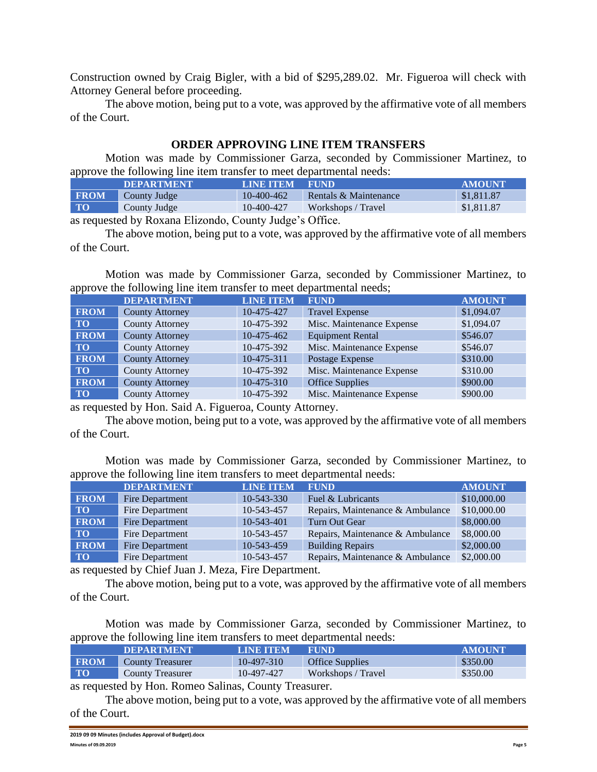Construction owned by Craig Bigler, with a bid of \$295,289.02. Mr. Figueroa will check with Attorney General before proceeding.

The above motion, being put to a vote, was approved by the affirmative vote of all members of the Court.

# **ORDER APPROVING LINE ITEM TRANSFERS**

Motion was made by Commissioner Garza, seconded by Commissioner Martinez, to approve the following line item transfer to meet departmental needs:

| .           | <b>DEPARTMENT</b>   | <b>LINE ITEM</b> | <b>FUND</b>           | <b>AMOUNT</b> |
|-------------|---------------------|------------------|-----------------------|---------------|
| <b>FROM</b> | <b>County Judge</b> | 10-400-462       | Rentals & Maintenance | \$1,811.87    |
| <b>TO</b>   | County Judge        | 10-400-427       | Workshops / Travel    | \$1,811.87    |

as requested by Roxana Elizondo, County Judge's Office.

The above motion, being put to a vote, was approved by the affirmative vote of all members of the Court.

Motion was made by Commissioner Garza, seconded by Commissioner Martinez, to approve the following line item transfer to meet departmental needs;

|             | <b>DEPARTMENT</b>      | <b>LINE ITEM</b> | <b>FUND</b>               | <b>AMOUNT</b> |
|-------------|------------------------|------------------|---------------------------|---------------|
| <b>FROM</b> | <b>County Attorney</b> | 10-475-427       | <b>Travel Expense</b>     | \$1,094.07    |
| <b>TO</b>   | <b>County Attorney</b> | 10-475-392       | Misc. Maintenance Expense | \$1,094.07    |
| <b>FROM</b> | <b>County Attorney</b> | 10-475-462       | <b>Equipment Rental</b>   | \$546.07      |
| <b>TO</b>   | <b>County Attorney</b> | 10-475-392       | Misc. Maintenance Expense | \$546.07      |
| <b>FROM</b> | <b>County Attorney</b> | 10-475-311       | Postage Expense           | \$310.00      |
| $\bf T$ O   | <b>County Attorney</b> | 10-475-392       | Misc. Maintenance Expense | \$310.00      |
| <b>FROM</b> | <b>County Attorney</b> | 10-475-310       | Office Supplies           | \$900.00      |
| <b>TO</b>   | <b>County Attorney</b> | 10-475-392       | Misc. Maintenance Expense | \$900.00      |

as requested by Hon. Said A. Figueroa, County Attorney.

The above motion, being put to a vote, was approved by the affirmative vote of all members of the Court.

Motion was made by Commissioner Garza, seconded by Commissioner Martinez, to approve the following line item transfers to meet departmental needs:

|             | <b>DEPARTMENT</b>      | <b>LINE ITEM</b> | <b>FUND</b>                      | <b>AMOUNT</b> |
|-------------|------------------------|------------------|----------------------------------|---------------|
| <b>FROM</b> | Fire Department        | 10-543-330       | Fuel & Lubricants                | \$10,000.00   |
| TO.         | Fire Department        | 10-543-457       | Repairs, Maintenance & Ambulance | \$10,000.00   |
| <b>FROM</b> | Fire Department        | $10 - 543 - 401$ | Turn Out Gear                    | \$8,000.00    |
| <b>TO</b>   | Fire Department        | 10-543-457       | Repairs, Maintenance & Ambulance | \$8,000.00    |
| <b>FROM</b> | <b>Fire Department</b> | 10-543-459       | <b>Building Repairs</b>          | \$2,000.00    |
| <b>TO</b>   | Fire Department        | 10-543-457       | Repairs, Maintenance & Ambulance | \$2,000.00    |

as requested by Chief Juan J. Meza, Fire Department.

The above motion, being put to a vote, was approved by the affirmative vote of all members of the Court.

Motion was made by Commissioner Garza, seconded by Commissioner Martinez, to approve the following line item transfers to meet departmental needs:

|             | <b>DEPARTMENT</b>       | <b>LINE ITEM</b> | <b>FUND</b>            | <b>AMOUNT</b> |
|-------------|-------------------------|------------------|------------------------|---------------|
| <b>FROM</b> | <b>County Treasurer</b> | 10-497-310       | <b>Office Supplies</b> | \$350.00      |
| $\bf{TO}$   | <b>County Treasurer</b> | 10-497-427       | Workshops / Travel     | \$350.00      |

as requested by Hon. Romeo Salinas, County Treasurer.

The above motion, being put to a vote, was approved by the affirmative vote of all members of the Court.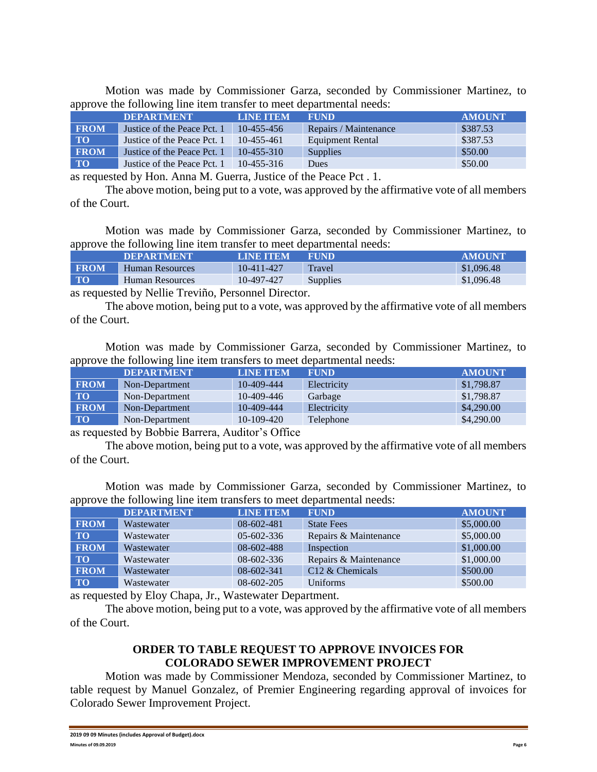Motion was made by Commissioner Garza, seconded by Commissioner Martinez, to approve the following line item transfer to meet departmental needs:

| .           |                             |                  |                       |               |
|-------------|-----------------------------|------------------|-----------------------|---------------|
|             | <b>DEPARTMENT</b>           | <b>LINE ITEM</b> | <b>FUND</b>           | <b>AMOUNT</b> |
| <b>FROM</b> | Justice of the Peace Pct. 1 | $10-455-456$     | Repairs / Maintenance | \$387.53      |
| <b>TO</b>   | Justice of the Peace Pct. 1 | 10-455-461       | Equipment Rental      | \$387.53      |
| <b>FROM</b> | Justice of the Peace Pct. 1 | $10-455-310$     | <b>Supplies</b>       | \$50.00       |
| <b>TO</b>   | Justice of the Peace Pct. 1 | $10-455-316$     | Dues                  | \$50.00       |
|             |                             |                  |                       |               |

as requested by Hon. Anna M. Guerra, Justice of the Peace Pct . 1.

The above motion, being put to a vote, was approved by the affirmative vote of all members of the Court.

Motion was made by Commissioner Garza, seconded by Commissioner Martinez, to approve the following line item transfer to meet departmental needs:

|             | <b>IDEPARTMENT</b> | <b>LINE ITEM</b> | <b>FUND</b>     | AMOUNT     |
|-------------|--------------------|------------------|-----------------|------------|
| <b>FROM</b> | Human Resources    | 10-411-427       | Travel          | \$1,096.48 |
| <b>TO</b>   | Human Resources    | 10-497-427       | <b>Supplies</b> | \$1,096.48 |
|             |                    |                  |                 |            |

as requested by Nellie Treviño, Personnel Director.

The above motion, being put to a vote, was approved by the affirmative vote of all members of the Court.

Motion was made by Commissioner Garza, seconded by Commissioner Martinez, to approve the following line item transfers to meet departmental needs:

|             | <b>DEPARTMENT</b> | <b>LINE ITEM</b> | <b>FUND</b> | <b>AMOUNT</b> |
|-------------|-------------------|------------------|-------------|---------------|
| <b>FROM</b> | Non-Department    | 10-409-444       | Electricity | \$1,798.87    |
| <b>TO</b>   | Non-Department    | $10-409-446$     | Garbage     | \$1,798.87    |
| <b>FROM</b> | Non-Department    | 10-409-444       | Electricity | \$4,290.00    |
| <b>TO</b>   | Non-Department    | $10-109-420$     | Telephone   | \$4,290.00    |

as requested by Bobbie Barrera, Auditor's Office

The above motion, being put to a vote, was approved by the affirmative vote of all members of the Court.

Motion was made by Commissioner Garza, seconded by Commissioner Martinez, to approve the following line item transfers to meet departmental needs:

|             | <b>DEPARTMENT</b> | <b>LINE ITEM</b> | <b>FUND</b>           | <b>AMOUNT</b> |
|-------------|-------------------|------------------|-----------------------|---------------|
| <b>FROM</b> | Wastewater        | $08 - 602 - 481$ | <b>State Fees</b>     | \$5,000.00    |
| <b>TO</b>   | Wastewater        | $05 - 602 - 336$ | Repairs & Maintenance | \$5,000.00    |
| <b>FROM</b> | Wastewater        | 08-602-488       | Inspection            | \$1,000.00    |
| <b>TO</b>   | Wastewater        | $08 - 602 - 336$ | Repairs & Maintenance | \$1,000.00    |
| <b>FROM</b> | Wastewater        | 08-602-341       | $C12 \&$ Chemicals    | \$500.00      |
| <b>TO</b>   | Wastewater        | $08-602-205$     | Uniforms              | \$500.00      |

as requested by Eloy Chapa, Jr., Wastewater Department.

The above motion, being put to a vote, was approved by the affirmative vote of all members of the Court.

# **ORDER TO TABLE REQUEST TO APPROVE INVOICES FOR COLORADO SEWER IMPROVEMENT PROJECT**

Motion was made by Commissioner Mendoza, seconded by Commissioner Martinez, to table request by Manuel Gonzalez, of Premier Engineering regarding approval of invoices for Colorado Sewer Improvement Project.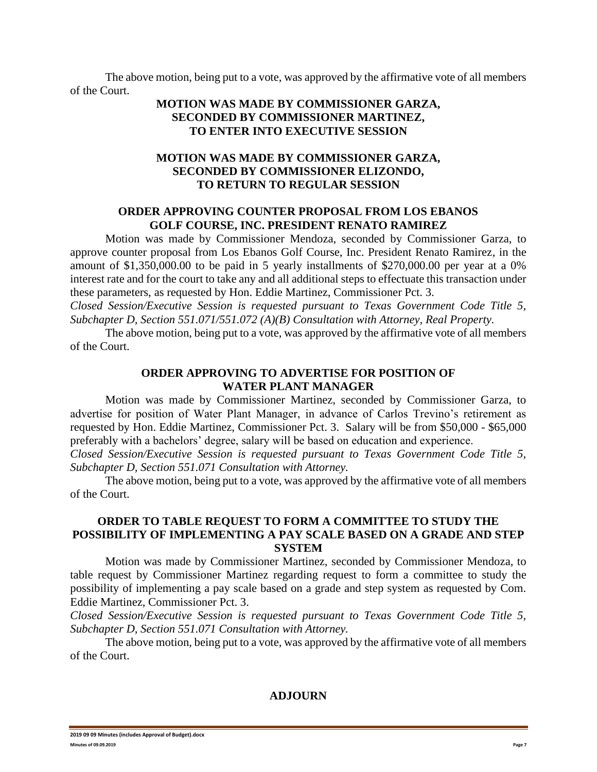The above motion, being put to a vote, was approved by the affirmative vote of all members of the Court.

# **MOTION WAS MADE BY COMMISSIONER GARZA, SECONDED BY COMMISSIONER MARTINEZ, TO ENTER INTO EXECUTIVE SESSION**

# **MOTION WAS MADE BY COMMISSIONER GARZA, SECONDED BY COMMISSIONER ELIZONDO, TO RETURN TO REGULAR SESSION**

#### **ORDER APPROVING COUNTER PROPOSAL FROM LOS EBANOS GOLF COURSE, INC. PRESIDENT RENATO RAMIREZ**

Motion was made by Commissioner Mendoza, seconded by Commissioner Garza, to approve counter proposal from Los Ebanos Golf Course, Inc. President Renato Ramirez, in the amount of \$1,350,000.00 to be paid in 5 yearly installments of \$270,000.00 per year at a 0% interest rate and for the court to take any and all additional steps to effectuate this transaction under these parameters, as requested by Hon. Eddie Martinez, Commissioner Pct. 3.

*Closed Session/Executive Session is requested pursuant to Texas Government Code Title 5, Subchapter D, Section 551.071/551.072 (A)(B) Consultation with Attorney, Real Property.*

The above motion, being put to a vote, was approved by the affirmative vote of all members of the Court.

#### **ORDER APPROVING TO ADVERTISE FOR POSITION OF WATER PLANT MANAGER**

Motion was made by Commissioner Martinez, seconded by Commissioner Garza, to advertise for position of Water Plant Manager, in advance of Carlos Trevino's retirement as requested by Hon. Eddie Martinez, Commissioner Pct. 3. Salary will be from \$50,000 - \$65,000 preferably with a bachelors' degree, salary will be based on education and experience.

*Closed Session/Executive Session is requested pursuant to Texas Government Code Title 5, Subchapter D, Section 551.071 Consultation with Attorney.*

The above motion, being put to a vote, was approved by the affirmative vote of all members of the Court.

# **ORDER TO TABLE REQUEST TO FORM A COMMITTEE TO STUDY THE POSSIBILITY OF IMPLEMENTING A PAY SCALE BASED ON A GRADE AND STEP SYSTEM**

Motion was made by Commissioner Martinez, seconded by Commissioner Mendoza, to table request by Commissioner Martinez regarding request to form a committee to study the possibility of implementing a pay scale based on a grade and step system as requested by Com. Eddie Martinez, Commissioner Pct. 3.

*Closed Session/Executive Session is requested pursuant to Texas Government Code Title 5, Subchapter D, Section 551.071 Consultation with Attorney.*

The above motion, being put to a vote, was approved by the affirmative vote of all members of the Court.

### **ADJOURN**

**<sup>2019 09 09</sup> Minutes (includes Approval of Budget).docx Minutes of 09.09.2019 Page 7**